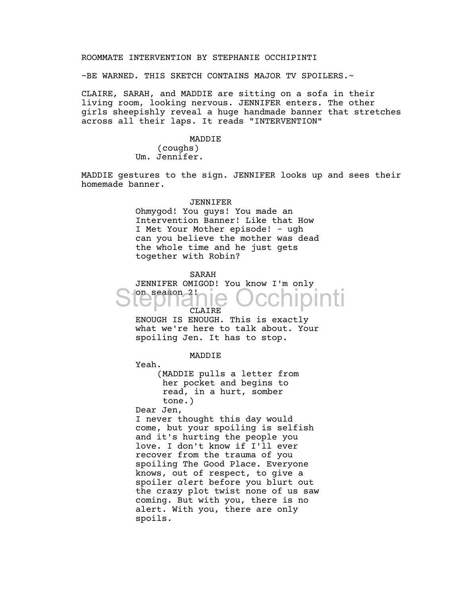## ROOMMATE INTERVENTION BY STEPHANIE OCCHIPINTI

~BE WARNED. THIS SKETCH CONTAINS MAJOR TV SPOILERS.~

CLAIRE, SARAH, and MADDIE are sitting on a sofa in their living room, looking nervous. JENNIFER enters. The other girls sheepishly reveal a huge handmade banner that stretches across all their laps. It reads "INTERVENTION"

#### MADDIE

(coughs) Um. Jennifer.

MADDIE gestures to the sign. JENNIFER looks up and sees their homemade banner.

#### JENNIFER

Ohmygod! You guys! You made an Intervention Banner! Like that How I Met Your Mother episode! - ugh can you believe the mother was dead the whole time and he just gets together with Robin?

#### SARAH

JENNIFER OMIGOD! You know I'm only on season 2! CLAIRE Stephanie Occhipinti

ENOUGH IS ENOUGH. This is exactly what we're here to talk about. Your spoiling Jen. It has to stop.

### MADDIE

Yeah.

(MADDIE pulls a letter from her pocket and begins to read, in a hurt, somber tone.)

Dear Jen,

I never thought this day would come, but your spoiling is selfish and it's hurting the people you love. I don't know if I'll ever recover from the trauma of you spoiling The Good Place. Everyone knows, out of respect, to give a spoiler *alert* before you blurt out the crazy plot twist none of us saw coming. But with you, there is no alert. With you, there are only spoils.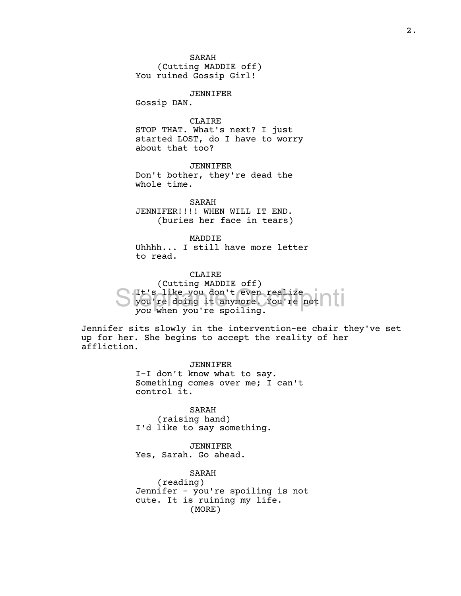SARAH

(Cutting MADDIE off) You ruined Gossip Girl!

JENNIFER

Gossip DAN.

CLAIRE

STOP THAT. What's next? I just started LOST, do I have to worry about that too?

JENNIFER Don't bother, they're dead the whole time.

SARAH JENNIFER!!!! WHEN WILL IT END. (buries her face in tears)

MADDIE Uhhhh... I still have more letter to read.

CLAIRE

(Cutting MADDIE off) It's like you don't even realize S It's like you don't even realize<br>
you're doing it anymore. You're not *you* when you're spoiling.

Jennifer sits slowly in the intervention-ee chair they've set up for her. She begins to accept the reality of her affliction.

> JENNIFER I-I don't know what to say. Something comes over me; I can't control it.

SARAH (raising hand) I'd like to say something.

JENNIFER Yes, Sarah. Go ahead.

> SARAH (reading)

Jennifer - you're spoiling is not cute. It is ruining my life. (MORE)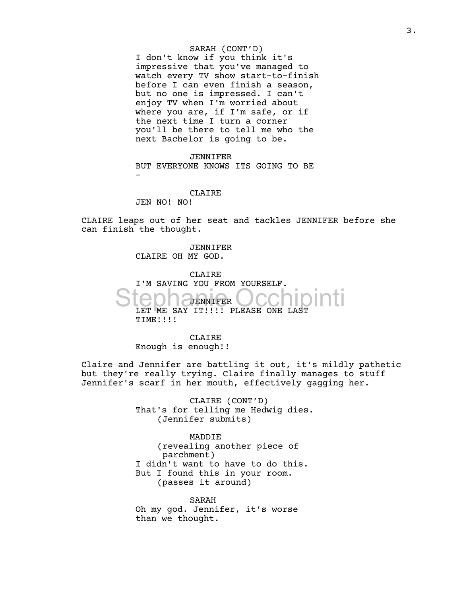### SARAH (CONT'D)

I don't know if you think it's impressive that you've managed to watch every TV show start-to-finish before I can even finish a season, but no one is impressed. I can't enjoy TV when I'm worried about where you are, if I'm safe, or if the next time I turn a corner you'll be there to tell me who the next Bachelor is going to be.

JENNIFER BUT EVERYONE KNOWS ITS GOING TO BE -

CLAIRE JEN NO! NO!

CLAIRE leaps out of her seat and tackles JENNIFER before she can finish the thought.

> JENNIFER CLAIRE OH MY GOD.

CLAIRE I'M SAVING YOU FROM YOURSELF. JENNIFER Stephanier Occhipinti TIME!!!!

CLAIRE Enough is enough!!

Claire and Jennifer are battling it out, it's mildly pathetic but they're really trying. Claire finally manages to stuff Jennifer's scarf in her mouth, effectively gagging her.

> CLAIRE (CONT'D) That's for telling me Hedwig dies. (Jennifer submits)

MADDIE (revealing another piece of parchment) I didn't want to have to do this. But I found this in your room. (passes it around)

SARAH Oh my god. Jennifer, it's worse than we thought.